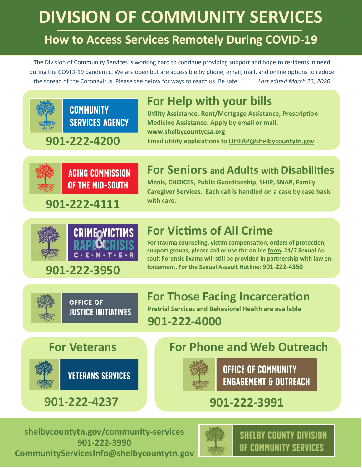# **DIVISION OF COMMUNITY SERVICES**

## **How to Access Services Remotely During COVID-19**

The Division of Community Services is working hard to continue providing support and hope to residents in need during the COVID-19 pandemic. We are open but are accessible by phone, email, mail, and online options to reduce the spread of the Coronavirus. Please see below for ways to reach us. Be safe. *Last edited March 23, 2020*

# **For Help with your bills**

**Utility Assistance, Rent/Mortgage Assistance, Prescription Medicine Assistance. Apply by email or mail. [www.shelbycountycsa.org](http://www.shelbycountycsa.org) Email utility applications to [LIHEAP@shelbycountytn.gov](mailto:LIHEAP@shelbycountytn.gov)**

**901-222-4200**

**COMMUNITY** 



**AGING COMMISSION** OF THE MID-SOUTH

**SERVICES AGENCY** 

## **For Seniors and Adults with Disabilities**

**Meals, CHOICES, Public Guardianship, SHIP, SNAP, Family Caregiver Services. Each call is handled on a case by case basis** 

**with care. 901-222-4111**



#### **For Victims of All Crime**

**For trauma counseling, victim compensation, orders of protection, support groups, please call or use the online [form.](https://crimevictimscenter.shelbycountytn.gov/victimrequestformforhelp) 24/7 Sexual Assault Forensic Exams will still be provided in partnership with law enforcement. For the Sexual Assault Hotline: 901-222-<sup>4350</sup> 901-222-3950**



**OFFICE OF** 

**JUSTICE INITIATIVES** 

#### **For Those Facing Incarceration**

 **Pretrial Services and Behavioral Health are available 901-222-4000**



#### **For Veterans For Phone and Web Outreach**



**OFFICE OF COMMUNITY ENGAGEMENT & OUTREACH** 

# **901-222-4237 901-222-3991**

**[shelbycountytn.gov/community](http://www.shelbycountytn.gov/community-services)-services 901-222-3990 [CommunityServicesInfo@shelbycountytn.gov](mailto:CommunityServicesInfo@shelbycountytn.gov)**



**SHELBY COUNTY DIVISION** OF COMMUNITY SERVICES